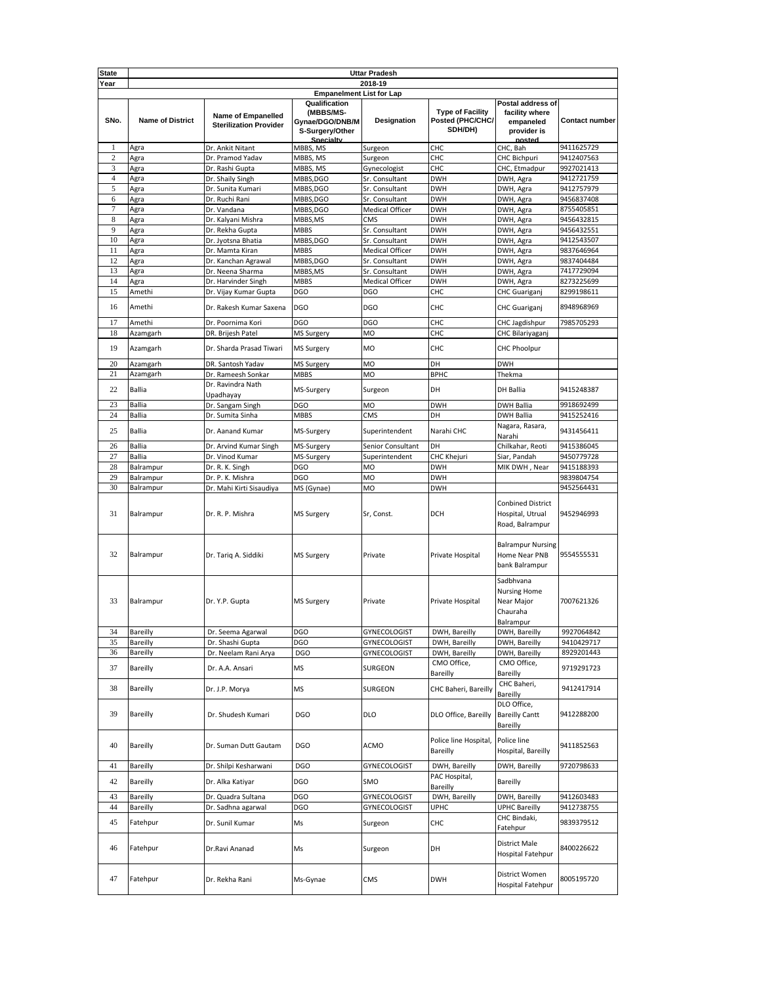| <b>State</b>   | <b>Uttar Pradesh</b>            |                                                            |                                                                               |                   |                                                        |                                                                           |                       |  |  |
|----------------|---------------------------------|------------------------------------------------------------|-------------------------------------------------------------------------------|-------------------|--------------------------------------------------------|---------------------------------------------------------------------------|-----------------------|--|--|
| Year           | 2018-19                         |                                                            |                                                                               |                   |                                                        |                                                                           |                       |  |  |
|                | <b>Empanelment List for Lap</b> |                                                            |                                                                               |                   |                                                        |                                                                           |                       |  |  |
| SNo.           | <b>Name of District</b>         | <b>Name of Empanelled</b><br><b>Sterilization Provider</b> | Qualification<br>(MBBS/MS-<br>Gynae/DGO/DNB/M<br>S-Surgery/Other<br>Snecialty | Designation       | <b>Type of Facility</b><br>Posted (PHC/CHC/<br>SDH/DH) | Postal address of<br>facility where<br>empaneled<br>provider is<br>nosted | <b>Contact number</b> |  |  |
| 1              | Agra                            | Dr. Ankit Nitant                                           | MBBS, MS                                                                      | Surgeon           | CHC                                                    | CHC, Bah                                                                  | 9411625729            |  |  |
| $\mathbf{2}$   | Agra                            | Dr. Pramod Yadav                                           | MBBS, MS                                                                      | Surgeon           | CHC                                                    | <b>CHC Bichpuri</b>                                                       | 9412407563            |  |  |
| 3              | Agra                            | Dr. Rashi Gupta                                            | MBBS, MS                                                                      | Gynecologist      | CHC                                                    | CHC, Etmadpur                                                             | 9927021413            |  |  |
| $\overline{4}$ | Agra                            | Dr. Shaily Singh                                           | MBBS,DGO                                                                      | Sr. Consultant    | <b>DWH</b>                                             | DWH, Agra                                                                 | 9412721759            |  |  |
| 5              | Agra                            | Dr. Sunita Kumari                                          | MBBS,DGO                                                                      | Sr. Consultant    | <b>DWH</b>                                             | DWH, Agra                                                                 | 9412757979            |  |  |
| 6              | Agra                            | Dr. Ruchi Rani                                             | MBBS,DGO                                                                      | Sr. Consultant    | <b>DWH</b>                                             | DWH, Agra                                                                 | 9456837408            |  |  |
| 7              | Agra                            | Dr. Vandana                                                | MBBS,DGO                                                                      | Medical Officer   | <b>DWH</b>                                             | DWH, Agra                                                                 | 8755405851            |  |  |
| 8              | Agra                            | Dr. Kalyani Mishra                                         | MBBS,MS                                                                       | CMS               | <b>DWH</b>                                             | DWH, Agra                                                                 | 9456432815            |  |  |
| 9              | Agra                            | Dr. Rekha Gupta                                            | MBBS                                                                          | Sr. Consultant    | <b>DWH</b>                                             | DWH, Agra                                                                 | 9456432551            |  |  |
| 10             | Agra                            | Dr. Jyotsna Bhatia                                         | MBBS,DGO                                                                      | Sr. Consultant    | <b>DWH</b>                                             | DWH, Agra                                                                 | 9412543507            |  |  |
| 11             | Agra                            | Dr. Mamta Kiran                                            | <b>MBBS</b>                                                                   | Medical Officer   | <b>DWH</b>                                             | DWH, Agra                                                                 | 9837646964            |  |  |
| 12             | Agra                            | Dr. Kanchan Agrawal                                        | MBBS,DGO                                                                      | Sr. Consultant    | <b>DWH</b>                                             | DWH, Agra                                                                 | 9837404484            |  |  |
| 13             | Agra                            | Dr. Neena Sharma                                           | MBBS,MS                                                                       | Sr. Consultant    | <b>DWH</b>                                             | DWH, Agra                                                                 | 7417729094            |  |  |
| 14             | Agra                            | Dr. Harvinder Singh                                        | <b>MBBS</b>                                                                   | Medical Officer   | <b>DWH</b>                                             | DWH, Agra                                                                 | 8273225699            |  |  |
| 15             | Amethi                          | Dr. Vijay Kumar Gupta                                      | <b>DGO</b>                                                                    | <b>DGO</b>        | CHC                                                    | CHC Guariganj                                                             | 8299198611            |  |  |
| 16             | Amethi                          | Dr. Rakesh Kumar Saxena                                    | <b>DGO</b>                                                                    | <b>DGO</b>        | CHC                                                    | CHC Guariganj                                                             | 8948968969            |  |  |
| 17             | Amethi                          | Dr. Poornima Kori                                          | <b>DGO</b>                                                                    | <b>DGO</b>        | CHC                                                    | CHC Jagdishpur                                                            | 7985705293            |  |  |
| 18             | Azamgarh                        | DR. Brijesh Patel                                          | <b>MS Surgery</b>                                                             | <b>MO</b>         | CHC                                                    | CHC Bilariyaganj                                                          |                       |  |  |
| 19             | Azamgarh                        | Dr. Sharda Prasad Tiwari                                   | <b>MS Surgery</b>                                                             | <b>MO</b>         | CHC                                                    | <b>CHC Phoolpur</b>                                                       |                       |  |  |
| 20             | Azamgarh                        | DR. Santosh Yadav                                          | MS Surgery                                                                    | <b>MO</b>         | DH                                                     | <b>DWH</b>                                                                |                       |  |  |
| 21             | Azamgarh                        | Dr. Rameesh Sonkar                                         | <b>MBBS</b>                                                                   | <b>MO</b>         | <b>BPHC</b>                                            | Thekma                                                                    |                       |  |  |
| 22             | Ballia                          | Dr. Ravindra Nath<br>Upadhayay                             | MS-Surgery                                                                    | Surgeon           | DH                                                     | <b>DH Ballia</b>                                                          | 9415248387            |  |  |
| 23             | Ballia                          | Dr. Sangam Singh                                           | DGO                                                                           | MO                | <b>DWH</b>                                             | <b>DWH Ballia</b>                                                         | 9918692499            |  |  |
| 24             | <b>Ballia</b>                   | Dr. Sumita Sinha                                           | <b>MBBS</b>                                                                   | <b>CMS</b>        | DH                                                     | <b>DWH Ballia</b>                                                         | 9415252416            |  |  |
| 25             | <b>Ballia</b>                   | Dr. Aanand Kumar                                           | MS-Surgery                                                                    | Superintendent    | Narahi CHC                                             | Nagara, Rasara,<br>Narahi                                                 | 9431456411            |  |  |
| 26             | Ballia                          | Dr. Arvind Kumar Singh                                     | MS-Surgery                                                                    | Senior Consultant | DH                                                     | Chilkahar, Reoti                                                          | 9415386045            |  |  |
| 27             | Ballia                          | Dr. Vinod Kumar                                            | MS-Surgery                                                                    | Superintendent    | CHC Khejuri                                            | Siar, Pandah                                                              | 9450779728            |  |  |
| 28             | Balrampur                       | Dr. R. K. Singh                                            | <b>DGO</b>                                                                    | MO                | <b>DWH</b>                                             | MIK DWH, Near                                                             | 9415188393            |  |  |
| 29             | Balrampur                       | Dr. P. K. Mishra                                           | DGO                                                                           | <b>MO</b>         | <b>DWH</b>                                             |                                                                           | 9839804754            |  |  |
| 30             | Balrampur                       | Dr. Mahi Kirti Sisaudiya                                   | MS (Gynae)                                                                    | <b>MO</b>         | <b>DWH</b>                                             |                                                                           | 9452564431            |  |  |
| 31             | Balrampur                       | Dr. R. P. Mishra                                           | <b>MS Surgery</b>                                                             | Sr, Const.        | <b>DCH</b>                                             | <b>Conbined District</b><br>Hospital, Utrual<br>Road, Balrampur           | 9452946993            |  |  |
| 32             | Balrampur                       | Dr. Tariq A. Siddiki                                       | <b>MS Surgery</b>                                                             | Private           | Private Hospital                                       | <b>Balrampur Nursing</b><br>Home Near PNB<br>bank Balrampur               | 9554555531            |  |  |
| 33             | Balrampur                       | Dr. Y.P. Gupta                                             | <b>MS Surgery</b>                                                             | Private           | Private Hospital                                       | Sadbhvana<br><b>Nursing Home</b><br>Near Major<br>Chauraha<br>Balrampur   | 7007621326            |  |  |
| 34             | Bareilly                        | Dr. Seema Agarwal                                          | DGO                                                                           | GYNECOLOGIST      | DWH, Bareilly                                          | DWH, Bareilly                                                             | 9927064842            |  |  |
| 35             | Bareilly                        | Dr. Shashi Gupta                                           | DGO                                                                           | GYNECOLOGIST      | DWH, Bareilly                                          | DWH, Bareilly                                                             | 9410429717            |  |  |
| 36             | Bareilly                        | Dr. Neelam Rani Arya                                       | DGO                                                                           | GYNECOLOGIST      | DWH, Bareilly                                          | DWH, Bareilly                                                             | 8929201443            |  |  |
| 37             | Bareilly                        | Dr. A.A. Ansari                                            | MS                                                                            | SURGEON           | CMO Office,<br>Bareilly                                | CMO Office,<br>Bareilly                                                   | 9719291723            |  |  |
| 38             | Bareilly                        | Dr. J.P. Morya                                             | MS                                                                            | SURGEON           | CHC Baheri, Bareilly                                   | CHC Baheri,<br>Bareilly                                                   | 9412417914            |  |  |
| 39             | Bareilly                        | Dr. Shudesh Kumari                                         | <b>DGO</b>                                                                    | <b>DLO</b>        | DLO Office, Bareilly                                   | DLO Office,<br><b>Bareilly Cantt</b><br>Bareilly                          | 9412288200            |  |  |
| 40             | Bareilly                        | Dr. Suman Dutt Gautam                                      | <b>DGO</b>                                                                    | <b>ACMO</b>       | Police line Hospital,<br>Bareilly                      | Police line<br>Hospital, Bareilly                                         | 9411852563            |  |  |
| 41             | Bareilly                        | Dr. Shilpi Kesharwani                                      | <b>DGO</b>                                                                    | GYNECOLOGIST      | DWH, Bareilly                                          | DWH, Bareilly                                                             | 9720798633            |  |  |
| 42             | Bareilly                        | Dr. Alka Katiyar                                           | DGO                                                                           | SMO               | PAC Hospital,<br>Bareilly                              | Bareilly                                                                  |                       |  |  |
| 43             | Bareilly                        | Dr. Quadra Sultana                                         | DGO                                                                           | GYNECOLOGIST      | DWH, Bareilly                                          | DWH, Bareilly                                                             | 9412603483            |  |  |
| 44             | Bareilly                        | Dr. Sadhna agarwal                                         | DGO                                                                           | GYNECOLOGIST      | UPHC                                                   | <b>UPHC Bareilly</b>                                                      | 9412738755            |  |  |
| 45             | Fatehpur                        | Dr. Sunil Kumar                                            | Ms                                                                            | Surgeon           | CHC                                                    | CHC Bindaki,<br>Fatehpur                                                  | 9839379512            |  |  |
| 46             | Fatehpur                        | Dr.Ravi Ananad                                             | Ms                                                                            | Surgeon           | DH                                                     | District Male<br>Hospital Fatehpur                                        | 8400226622            |  |  |
| 47             | Fatehpur                        | Dr. Rekha Rani                                             | Ms-Gynae                                                                      | CMS               | <b>DWH</b>                                             | District Women<br>Hospital Fatehpur                                       | 8005195720            |  |  |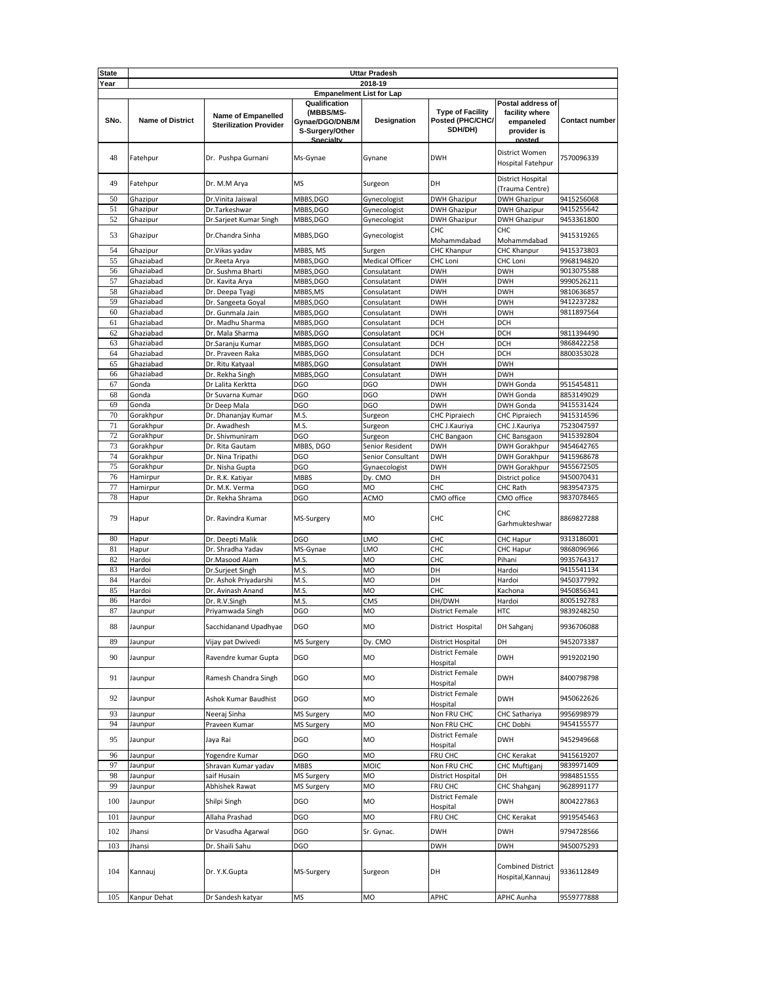| <b>State</b> |                                 |                                                     |                                                                               | <b>Uttar Pradesh</b>       |                                                        |                                                                           |                          |  |  |
|--------------|---------------------------------|-----------------------------------------------------|-------------------------------------------------------------------------------|----------------------------|--------------------------------------------------------|---------------------------------------------------------------------------|--------------------------|--|--|
| Year         | 2018-19                         |                                                     |                                                                               |                            |                                                        |                                                                           |                          |  |  |
|              | <b>Empanelment List for Lap</b> |                                                     |                                                                               |                            |                                                        |                                                                           |                          |  |  |
| SNo.         | <b>Name of District</b>         | Name of Empanelled<br><b>Sterilization Provider</b> | Qualification<br>(MBBS/MS-<br>Gynae/DGO/DNB/M<br>S-Surgery/Other<br>Snecialty | Designation                | <b>Type of Facility</b><br>Posted (PHC/CHC/<br>SDH/DH) | Postal address of<br>facility where<br>empaneled<br>provider is<br>nosted | <b>Contact number</b>    |  |  |
| 48           | Fatehpur                        | Dr. Pushpa Gurnani                                  | Ms-Gynae                                                                      | Gynane                     | <b>DWH</b>                                             | District Women<br>Hospital Fatehpur                                       | 7570096339               |  |  |
| 49           | Fatehpur                        | Dr. M.M Arya                                        | <b>MS</b>                                                                     | Surgeon                    | DH                                                     | District Hospital<br>(Trauma Centre)                                      |                          |  |  |
| 50           | Ghazipur                        | Dr.Vinita Jaiswal                                   | MBBS,DGO                                                                      | Gynecologist               | <b>DWH Ghazipur</b>                                    | <b>DWH Ghazipur</b>                                                       | 9415256068               |  |  |
| 51           | Ghazipur                        | Dr.Tarkeshwar                                       | MBBS,DGO                                                                      | Gynecologist               | <b>DWH Ghazipur</b>                                    | <b>DWH Ghazipur</b>                                                       | 9415255642               |  |  |
| 52           | Ghazipur                        | Dr.Sarjeet Kumar Singh                              | MBBS,DGO                                                                      | Gynecologist               | <b>DWH Ghazipur</b>                                    | <b>DWH Ghazipur</b>                                                       | 9453361800               |  |  |
| 53           | Ghazipur                        | Dr.Chandra Sinha                                    | MBBS,DGO                                                                      | Gynecologist               | CHC<br>Mohammdabad                                     | CHC<br>Mohammdabad                                                        | 9415319265               |  |  |
| 54           | Ghazipur                        | Dr. Vikas yadav                                     | MBBS, MS                                                                      | Surgen                     | CHC Khanpur                                            | CHC Khanpur                                                               | 9415373803               |  |  |
| 55           | Ghaziabad                       | Dr.Reeta Arya                                       | MBBS,DGO                                                                      | <b>Medical Officer</b>     | CHC Loni                                               | CHC Loni                                                                  | 9968194820               |  |  |
| 56           | Ghaziabad                       | Dr. Sushma Bharti                                   | MBBS,DGO                                                                      | Consulatant                | <b>DWH</b>                                             | <b>DWH</b>                                                                | 9013075588               |  |  |
| 57           | Ghaziabad                       | Dr. Kavita Arya                                     | MBBS,DGO                                                                      | Consulatant                | <b>DWH</b>                                             | DWH                                                                       | 9990526211               |  |  |
| 58           | Ghaziabad                       | Dr. Deepa Tyagi                                     | MBBS,MS                                                                       | Consulatant                | <b>DWH</b>                                             | <b>DWH</b>                                                                | 9810636857               |  |  |
| 59<br>60     | Ghaziabad<br>Ghaziabad          | Dr. Sangeeta Goyal                                  | MBBS,DGO                                                                      | Consulatant<br>Consulatant | <b>DWH</b><br><b>DWH</b>                               | <b>DWH</b><br>DWH                                                         | 9412237282<br>9811897564 |  |  |
| 61           | Ghaziabad                       | Dr. Gunmala Jain<br>Dr. Madhu Sharma                | MBBS,DGO<br>MBBS,DGO                                                          | Consulatant                | DCH                                                    | DCH                                                                       |                          |  |  |
| 62           | Ghaziabad                       | Dr. Mala Sharma                                     | MBBS,DGO                                                                      | Consulatant                | <b>DCH</b>                                             | DCH                                                                       | 9811394490               |  |  |
| 63           | Ghaziabad                       | Dr.Saranju Kumar                                    | MBBS,DGO                                                                      | Consulatant                | DCH                                                    | DCH                                                                       | 9868422258               |  |  |
| 64           | Ghaziabad                       | Dr. Praveen Raka                                    | MBBS,DGO                                                                      | Consulatant                | DCH                                                    | DCH                                                                       | 8800353028               |  |  |
| 65           | Ghaziabad                       | Dr. Ritu Katyaal                                    | MBBS,DGO                                                                      | Consulatant                | <b>DWH</b>                                             | DWH                                                                       |                          |  |  |
| 66           | Ghaziabad                       | Dr. Rekha Singh                                     | MBBS,DGO                                                                      | Consulatant                | <b>DWH</b>                                             | <b>DWH</b>                                                                |                          |  |  |
| 67           | Gonda                           | Dr Lalita Kerktta                                   | <b>DGO</b>                                                                    | DGO                        | <b>DWH</b>                                             | DWH Gonda                                                                 | 9515454811               |  |  |
| 68           | Gonda                           | Dr Suvarna Kumar                                    | <b>DGO</b>                                                                    | DGO                        | <b>DWH</b>                                             | <b>DWH Gonda</b>                                                          | 8853149029               |  |  |
| 69           | Gonda                           | Dr Deep Mala                                        | <b>DGO</b>                                                                    | <b>DGO</b>                 | <b>DWH</b>                                             | <b>DWH Gonda</b>                                                          | 9415531424               |  |  |
| 70           | Gorakhpur                       | Dr. Dhananjay Kumar                                 | M.S.                                                                          | Surgeon                    | <b>CHC Pipraiech</b>                                   | <b>CHC Pipraiech</b>                                                      | 9415314596               |  |  |
| 71           | Gorakhpur                       | Dr. Awadhesh                                        | M.S.                                                                          | Surgeon                    | CHC J.Kauriya                                          | CHC J.Kauriya                                                             | 7523047597               |  |  |
| 72           | Gorakhpur                       | Dr. Shivmuniram                                     | <b>DGO</b>                                                                    | Surgeon                    | CHC Bangaon                                            | CHC Bansgaon                                                              | 9415392804               |  |  |
| 73           | Gorakhpur                       | Dr. Rita Gautam                                     | MBBS, DGO                                                                     | Senior Resident            | <b>DWH</b>                                             | <b>DWH Gorakhpur</b>                                                      | 9454642765               |  |  |
| 74           | Gorakhpur                       | Dr. Nina Tripathi                                   | <b>DGO</b>                                                                    | Senior Consultant          | <b>DWH</b>                                             | <b>DWH Gorakhpur</b>                                                      | 9415968678               |  |  |
| 75           | Gorakhpur                       | Dr. Nisha Gupta                                     | <b>DGO</b>                                                                    | Gynaecologist              | <b>DWH</b>                                             | DWH Gorakhpur                                                             | 9455672505               |  |  |
| 76           | Hamirpur                        | Dr. R.K. Katiyar                                    | <b>MBBS</b>                                                                   | Dy. CMO                    | DH                                                     | District police                                                           | 9450070431               |  |  |
| 77           | Hamirpur                        | Dr. M.K. Verma                                      | <b>DGO</b>                                                                    | <b>MO</b>                  | CHC                                                    | <b>CHC Rath</b>                                                           | 9839547375               |  |  |
| 78           | Hapur                           | Dr. Rekha Shrama                                    | <b>DGO</b>                                                                    | ACMO                       | CMO office                                             | CMO office                                                                | 9837078465               |  |  |
| 79           | Hapur                           | Dr. Ravindra Kumar                                  | MS-Surgery                                                                    | <b>MO</b>                  | CHC                                                    | CHC<br>Garhmukteshwar                                                     | 8869827288               |  |  |
| 80           | Hapur                           | Dr. Deepti Malik                                    | <b>DGO</b>                                                                    | LMO                        | снс                                                    | CHC Hapur                                                                 | 9313186001               |  |  |
| 81           | Hapur                           | Dr. Shradha Yadav                                   | MS-Gynae                                                                      | LMO                        | CHC                                                    | CHC Hapur                                                                 | 9868096966               |  |  |
| 82           | Hardoi                          | Dr.Masood Alam                                      | M.S.                                                                          | MO                         | CHC                                                    | Pihani                                                                    | 9935764317               |  |  |
| 83           | Hardoi                          | Dr.Surjeet Singh                                    | M.S.                                                                          | MO                         | DH                                                     | Hardoi                                                                    | 9415541134               |  |  |
| 84           | Hardoi                          | Dr. Ashok Priyadarshi                               | M.S.                                                                          | MO                         | DH                                                     | Hardoi                                                                    | 9450377992               |  |  |
| 85           | Hardoi                          | Dr. Avinash Anand                                   | M.S.                                                                          | MO                         | CHC                                                    | Kachona                                                                   | 9450856341               |  |  |
| 86           | Hardoi                          | Dr. R.V.Singh                                       | M.S.                                                                          | CMS                        | DH/DWH                                                 | Hardoi                                                                    | 8005192783               |  |  |
| 87<br>88     | Jaunpur<br>Jaunpur              | Priyamwada Singh<br>Sacchidanand Upadhyae           | DGO<br>DGO                                                                    | MO<br>MO                   | <b>District Female</b><br>District Hospital            | HTC<br>DH Sahganj                                                         | 9839248250<br>9936706088 |  |  |
| 89           | Jaunpur                         | Vijay pat Dwivedi                                   | MS Surgery                                                                    | Dy. CMO                    | District Hospital                                      | DH                                                                        | 9452073387               |  |  |
| 90           | Jaunpur                         | Ravendre kumar Gupta                                | <b>DGO</b>                                                                    | MO                         | <b>District Female</b>                                 | <b>DWH</b>                                                                | 9919202190               |  |  |
| 91           | Jaunpur                         | Ramesh Chandra Singh                                | <b>DGO</b>                                                                    | MO                         | Hospital<br><b>District Female</b>                     | <b>DWH</b>                                                                | 8400798798               |  |  |
| 92           | Jaunpur                         | Ashok Kumar Baudhist                                | <b>DGO</b>                                                                    | MO                         | Hospital<br><b>District Female</b>                     | <b>DWH</b>                                                                | 9450622626               |  |  |
|              |                                 |                                                     |                                                                               |                            | Hospital                                               |                                                                           |                          |  |  |
| 93           | Jaunpur                         | Neeraj Sinha                                        | <b>MS Surgery</b>                                                             | <b>MO</b>                  | Non FRU CHC                                            | CHC Sathariya                                                             | 9956998979               |  |  |
| 94<br>95     | Jaunpur<br>Jaunpur              | Praveen Kumar<br>Jaya Rai                           | <b>MS Surgery</b><br><b>DGO</b>                                               | MO<br>MO                   | Non FRU CHC<br><b>District Female</b>                  | CHC Dobhi<br><b>DWH</b>                                                   | 9454155577<br>9452949668 |  |  |
| 96           | Jaunpur                         | Yogendre Kumar                                      | DGO                                                                           | MO                         | Hospital<br>FRU CHC                                    | CHC Kerakat                                                               | 9415619207               |  |  |
| 97           | Jaunpur                         | Shravan Kumar yadav                                 | <b>MBBS</b>                                                                   | MOIC                       | Non FRU CHC                                            | CHC Muftiganj                                                             | 9839971409               |  |  |
| 98           | Jaunpur                         | saif Husain                                         | MS Surgery                                                                    | MO                         | <b>District Hospital</b>                               | DH                                                                        | 9984851555               |  |  |
| 99           | Jaunpur                         | Abhishek Rawat                                      | MS Surgery                                                                    | MO                         | FRU CHC                                                | CHC Shahganj                                                              | 9628991177               |  |  |
| 100          | Jaunpur                         | Shilpi Singh                                        | <b>DGO</b>                                                                    | MO                         | <b>District Female</b><br>Hospital                     | <b>DWH</b>                                                                | 8004227863               |  |  |
| 101          | Jaunpur                         | Allaha Prashad                                      | <b>DGO</b>                                                                    | MO                         | FRU CHC                                                | CHC Kerakat                                                               | 9919545463               |  |  |
| 102          | Jhansi                          | Dr Vasudha Agarwal                                  | <b>DGO</b>                                                                    | Sr. Gynac.                 | <b>DWH</b>                                             | <b>DWH</b>                                                                | 9794728566               |  |  |
|              |                                 |                                                     |                                                                               |                            |                                                        |                                                                           |                          |  |  |
| 103          | Jhansi                          | Dr. Shaili Sahu                                     | <b>DGO</b>                                                                    |                            | <b>DWH</b>                                             | <b>DWH</b>                                                                | 9450075293               |  |  |
| 104          | Kannauj                         | Dr. Y.K.Gupta                                       | MS-Surgery                                                                    | Surgeon                    | DH                                                     | <b>Combined District</b><br>Hospital, Kannauj                             | 9336112849               |  |  |
| 105          | Kanpur Dehat                    | Dr Sandesh katyar                                   | <b>MS</b>                                                                     | MO                         | APHC                                                   | APHC Aunha                                                                | 9559777888               |  |  |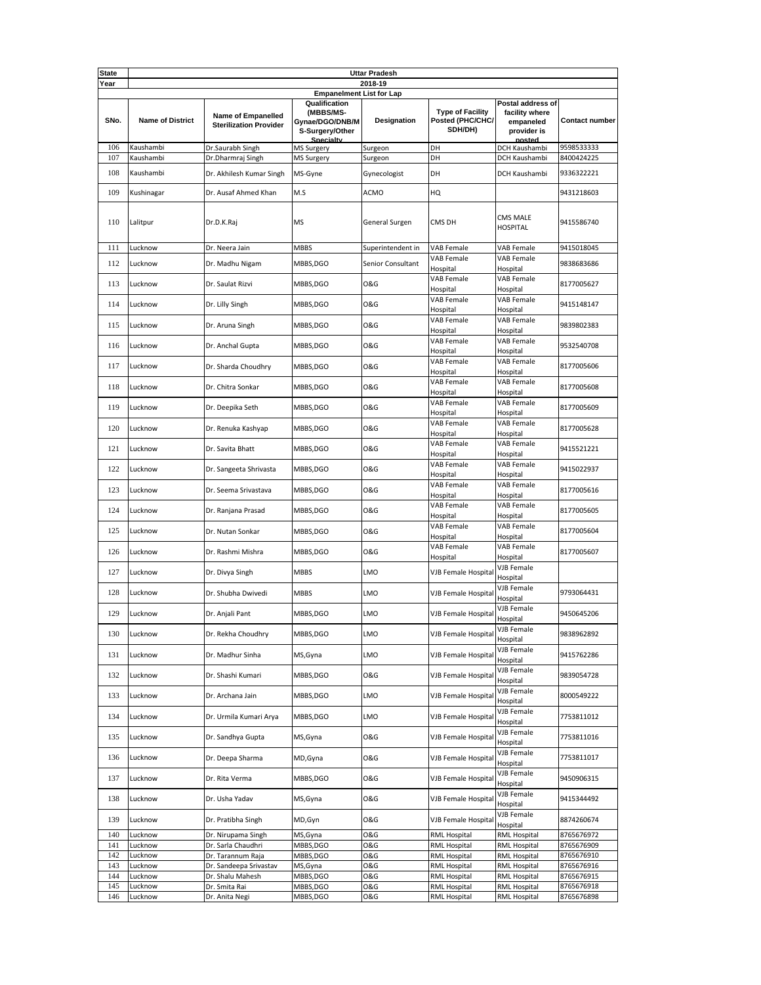| State      |                         |                                                            |                                                                               | <b>Uttar Pradesh</b> |                                                        |                                                                 |                          |  |  |
|------------|-------------------------|------------------------------------------------------------|-------------------------------------------------------------------------------|----------------------|--------------------------------------------------------|-----------------------------------------------------------------|--------------------------|--|--|
| Year       | 2018-19                 |                                                            |                                                                               |                      |                                                        |                                                                 |                          |  |  |
|            |                         |                                                            | <b>Empanelment List for Lap</b>                                               |                      |                                                        |                                                                 |                          |  |  |
| SNo.       | <b>Name of District</b> | <b>Name of Empanelled</b><br><b>Sterilization Provider</b> | Qualification<br>(MBBS/MS-<br>Gynae/DGO/DNB/M<br>S-Surgery/Other<br>Snecialty | Designation          | <b>Type of Facility</b><br>Posted (PHC/CHC/<br>SDH/DH) | Postal address of<br>facility where<br>empaneled<br>provider is | <b>Contact number</b>    |  |  |
| 106        | Kaushambi               | Dr.Saurabh Singh                                           | <b>MS Surgery</b>                                                             | Surgeon              | DH                                                     | DCH Kaushambi                                                   | 9598533333               |  |  |
| 107        | Kaushambi               | Dr.Dharmraj Singh                                          | <b>MS Surgery</b>                                                             | Surgeon              | DH                                                     | DCH Kaushambi                                                   | 8400424225               |  |  |
| 108        | Kaushambi               | Dr. Akhilesh Kumar Singh                                   | MS-Gyne                                                                       | Gynecologist         | DH                                                     | DCH Kaushambi                                                   | 9336322221               |  |  |
| 109        | Kushinagar              | Dr. Ausaf Ahmed Khan                                       | M.S                                                                           | <b>ACMO</b>          | HQ                                                     |                                                                 | 9431218603               |  |  |
| 110        | Lalitpur                | Dr.D.K.Raj                                                 | <b>MS</b>                                                                     | General Surgen       | CMS DH                                                 | <b>CMS MALE</b><br><b>HOSPITAL</b>                              | 9415586740               |  |  |
| 111        | Lucknow                 | Dr. Neera Jain                                             | <b>MBBS</b>                                                                   | Superintendent in    | VAB Female                                             | <b>VAB Female</b>                                               | 9415018045               |  |  |
| 112        | Lucknow                 | Dr. Madhu Nigam                                            | MBBS,DGO                                                                      | Senior Consultant    | VAB Female<br>Hospital                                 | VAB Female<br>Hospital                                          | 9838683686               |  |  |
| 113        | Lucknow                 | Dr. Saulat Rizvi                                           | MBBS,DGO                                                                      | <b>O&amp;G</b>       | <b>VAB Female</b><br>Hospital                          | VAB Female<br>Hospital                                          | 8177005627               |  |  |
| 114        | Lucknow                 | Dr. Lilly Singh                                            | MBBS,DGO                                                                      | 0&G                  | <b>VAB Female</b><br>Hospital                          | VAB Female<br>Hospital                                          | 9415148147               |  |  |
| 115        | Lucknow                 | Dr. Aruna Singh                                            | MBBS,DGO                                                                      | <b>O&amp;G</b>       | VAB Female<br>Hospital                                 | <b>VAB Female</b><br>Hospital                                   | 9839802383               |  |  |
| 116        | Lucknow                 | Dr. Anchal Gupta                                           | MBBS,DGO                                                                      | <b>O&amp;G</b>       | VAB Female<br>Hospital                                 | VAB Female<br>Hospital                                          | 9532540708               |  |  |
| 117        | Lucknow                 | Dr. Sharda Choudhry                                        | MBBS,DGO                                                                      | 0&G                  | <b>VAB Female</b><br>Hospital                          | VAB Female<br>Hospital                                          | 8177005606               |  |  |
| 118        | Lucknow                 | Dr. Chitra Sonkar                                          | MBBS,DGO                                                                      | <b>O&amp;G</b>       | VAB Female<br>Hospital                                 | VAB Female<br>Hospital                                          | 8177005608               |  |  |
| 119        | Lucknow                 | Dr. Deepika Seth                                           | MBBS,DGO                                                                      | <b>O&amp;G</b>       | <b>VAB Female</b><br>Hospital                          | <b>VAB Female</b><br>Hospital                                   | 8177005609               |  |  |
| 120        | Lucknow                 | Dr. Renuka Kashyap                                         | MBBS,DGO                                                                      | <b>O&amp;G</b>       | VAB Female<br>Hospital                                 | VAB Female<br>Hospital                                          | 8177005628               |  |  |
| 121        | Lucknow                 | Dr. Savita Bhatt                                           | MBBS,DGO                                                                      | <b>O&amp;G</b>       | <b>VAB Female</b><br>Hospital                          | VAB Female<br>Hospital                                          | 9415521221               |  |  |
| 122        | Lucknow                 | Dr. Sangeeta Shrivasta                                     | MBBS,DGO                                                                      | <b>O&amp;G</b>       | <b>VAB Female</b><br>Hospital                          | VAB Female<br>Hospital                                          | 9415022937               |  |  |
| 123        | Lucknow                 | Dr. Seema Srivastava                                       | MBBS,DGO                                                                      | <b>O&amp;G</b>       | <b>VAB Female</b><br>Hospital                          | VAB Female<br>Hospital                                          | 8177005616               |  |  |
| 124        | Lucknow                 | Dr. Ranjana Prasad                                         | MBBS,DGO                                                                      | <b>O&amp;G</b>       | <b>VAB Female</b><br>Hospital                          | VAB Female<br>Hospital                                          | 8177005605               |  |  |
| 125        | Lucknow                 | Dr. Nutan Sonkar                                           | MBBS,DGO                                                                      | <b>O&amp;G</b>       | <b>VAB Female</b><br>Hospital                          | VAB Female<br>Hospital                                          | 8177005604               |  |  |
| 126        | Lucknow                 | Dr. Rashmi Mishra                                          | MBBS,DGO                                                                      | <b>O&amp;G</b>       | <b>VAB Female</b><br>Hospital                          | VAB Female<br>Hospital                                          | 8177005607               |  |  |
| 127        | Lucknow                 | Dr. Divya Singh                                            | <b>MBBS</b>                                                                   | LMO                  | VJB Female Hospital                                    | VJB Female<br>Hospital                                          |                          |  |  |
| 128        | Lucknow                 | Dr. Shubha Dwivedi                                         | <b>MBBS</b>                                                                   | LMO                  | VJB Female Hospital                                    | VJB Female<br>Hospital                                          | 9793064431               |  |  |
| 129        | Lucknow                 | Dr. Anjali Pant                                            | MBBS,DGO                                                                      | LMO                  | VJB Female Hospital                                    | VJB Female<br>Hospital                                          | 9450645206               |  |  |
| 130        | Lucknow                 | Dr. Rekha Choudhry                                         | MBBS, DGO                                                                     | LMO                  | VJB Female Hospital                                    | VJB Female<br>Hospital                                          | 9838962892               |  |  |
| 131        | Lucknow                 | Dr. Madhur Sinha                                           | MS, Gyna                                                                      | LMO                  | VJB Female Hospital                                    | VJB Female<br>Hospital                                          | 9415762286               |  |  |
| 132        | Lucknow                 | Dr. Shashi Kumari                                          | MBBS,DGO                                                                      | 0&G                  | VJB Female Hospital                                    | VJB Female<br>Hospital                                          | 9839054728               |  |  |
| 133        | Lucknow                 | Dr. Archana Jain                                           | MBBS,DGO                                                                      | LMO                  | VJB Female Hospital                                    | VJB Female<br>Hospital                                          | 8000549222               |  |  |
| 134        | Lucknow                 | Dr. Urmila Kumari Arya                                     | MBBS, DGO                                                                     | LMO                  | VJB Female Hospital                                    | VJB Female<br>Hospital                                          | 7753811012               |  |  |
| 135        | Lucknow                 | Dr. Sandhya Gupta                                          | MS, Gyna                                                                      | <b>O&amp;G</b>       | <b>VJB Female Hospital</b>                             | VJB Female<br>Hospital                                          | 7753811016               |  |  |
| 136        | Lucknow                 | Dr. Deepa Sharma                                           | MD, Gyna                                                                      | <b>O&amp;G</b>       | VJB Female Hospital                                    | VJB Female<br>Hospital                                          | 7753811017               |  |  |
| 137        | Lucknow                 | Dr. Rita Verma                                             | MBBS,DGO                                                                      | <b>O&amp;G</b>       | VJB Female Hospital                                    | VJB Female<br>Hospital                                          | 9450906315               |  |  |
| 138        | Lucknow                 | Dr. Usha Yadav                                             | MS, Gyna                                                                      | <b>O&amp;G</b>       | VJB Female Hospital                                    | VJB Female<br>Hospital                                          | 9415344492               |  |  |
| 139        | Lucknow                 | Dr. Pratibha Singh                                         | MD, Gyn                                                                       | <b>O&amp;G</b>       | VJB Female Hospital                                    | VJB Female<br>Hospital                                          | 8874260674               |  |  |
| 140        | Lucknow                 | Dr. Nirupama Singh                                         | MS,Gyna                                                                       | O&G                  | RML Hospital                                           | RML Hospital                                                    | 8765676972               |  |  |
| 141        | Lucknow                 | Dr. Sarla Chaudhri                                         | MBBS,DGO                                                                      | 0&G                  | RML Hospital                                           | RML Hospital                                                    | 8765676909               |  |  |
| 142        | Lucknow                 | Dr. Tarannum Raja                                          | MBBS,DGO                                                                      | 0&G                  | RML Hospital                                           | RML Hospital                                                    | 8765676910               |  |  |
| 143<br>144 | Lucknow<br>Lucknow      | Dr. Sandeepa Srivastav                                     | MS,Gyna                                                                       | 0&G                  | <b>RML Hospital</b>                                    | <b>RML Hospital</b>                                             | 8765676916<br>8765676915 |  |  |
| 145        | Lucknow                 | Dr. Shalu Mahesh                                           | MBBS,DGO                                                                      | O&G                  | RML Hospital                                           | <b>RML Hospital</b>                                             | 8765676918               |  |  |
| 146        |                         | Dr. Smita Rai                                              | MBBS,DGO                                                                      | O&G                  | RML Hospital                                           | RML Hospital                                                    |                          |  |  |
|            | Lucknow                 | Dr. Anita Negi                                             | MBBS,DGO                                                                      | O&G                  | <b>RML Hospital</b>                                    | <b>RML Hospital</b>                                             | 8765676898               |  |  |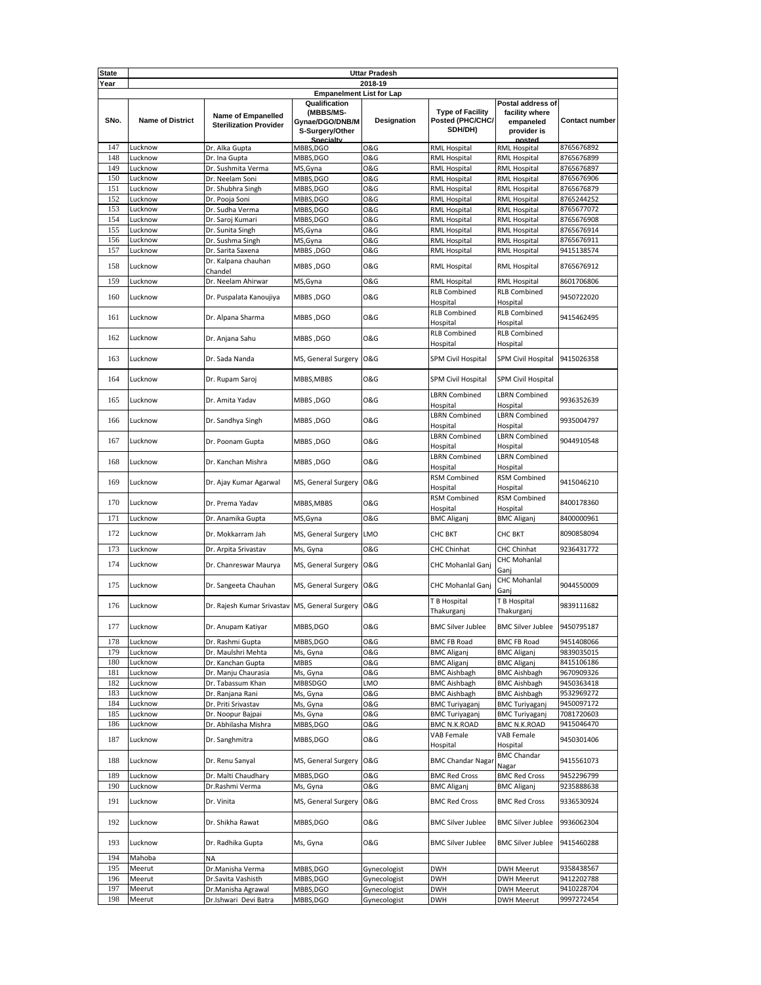| <b>State</b> |                                 |                                                            |                                                                               | <b>Uttar Pradesh</b>  |                                                        |                                                                           |                          |  |  |
|--------------|---------------------------------|------------------------------------------------------------|-------------------------------------------------------------------------------|-----------------------|--------------------------------------------------------|---------------------------------------------------------------------------|--------------------------|--|--|
| Year         | 2018-19                         |                                                            |                                                                               |                       |                                                        |                                                                           |                          |  |  |
|              | <b>Empanelment List for Lap</b> |                                                            |                                                                               |                       |                                                        |                                                                           |                          |  |  |
| SNo.         | <b>Name of District</b>         | <b>Name of Empanelled</b><br><b>Sterilization Provider</b> | Qualification<br>(MBBS/MS-<br>Gynae/DGO/DNB/M<br>S-Surgery/Other<br>Specialty | Designation           | <b>Type of Facility</b><br>Posted (PHC/CHC/<br>SDH/DH) | Postal address of<br>facility where<br>empaneled<br>provider is<br>nostad | <b>Contact number</b>    |  |  |
| 147          | Lucknow                         | Dr. Alka Gupta                                             | MBBS,DGO                                                                      | 0&G                   | RML Hospital                                           | RML Hospital                                                              | 8765676892               |  |  |
| 148          | Lucknow                         | Dr. Ina Gupta                                              | MBBS,DGO                                                                      | <b>O&amp;G</b>        | <b>RML Hospital</b>                                    | <b>RML Hospital</b>                                                       | 8765676899               |  |  |
| 149          | Lucknow                         | Dr. Sushmita Verma                                         | MS, Gyna                                                                      | <b>O&amp;G</b>        | <b>RML Hospital</b>                                    | <b>RML Hospital</b>                                                       | 8765676897               |  |  |
| 150          | Lucknow                         | Dr. Neelam Soni                                            | MBBS,DGO                                                                      | <b>O&amp;G</b>        | <b>RML Hospital</b>                                    | <b>RML Hospital</b>                                                       | 8765676906               |  |  |
| 151          | Lucknow                         | Dr. Shubhra Singh                                          | MBBS,DGO                                                                      | <b>O&amp;G</b>        | RML Hospital                                           | <b>RML Hospital</b>                                                       | 8765676879               |  |  |
| 152          | Lucknow                         | Dr. Pooja Soni                                             | MBBS,DGO                                                                      | <b>O&amp;G</b>        | <b>RML Hospital</b>                                    | <b>RML Hospital</b>                                                       | 8765244252               |  |  |
| 153          | Lucknow                         | Dr. Sudha Verma                                            | MBBS,DGO                                                                      | <b>O&amp;G</b>        | RML Hospital                                           | <b>RML Hospital</b>                                                       | 8765677072               |  |  |
| 154          | Lucknow                         | Dr. Saroj Kumari                                           | MBBS, DGO                                                                     | <b>O&amp;G</b>        | <b>RML Hospital</b>                                    | <b>RML Hospital</b>                                                       | 8765676908               |  |  |
| 155          | Lucknow                         | Dr. Sunita Singh                                           | MS, Gyna                                                                      | <b>O&amp;G</b>        | <b>RML Hospital</b>                                    | RML Hospital                                                              | 8765676914               |  |  |
| 156          | Lucknow                         | Dr. Sushma Singh                                           | MS, Gyna                                                                      | <b>O&amp;G</b>        | <b>RML Hospital</b>                                    | <b>RML Hospital</b>                                                       | 8765676911               |  |  |
| 157          | Lucknow                         | Dr. Sarita Saxena                                          | <b>MBBS, DGO</b>                                                              | <b>O&amp;G</b>        | RML Hospital                                           | <b>RML Hospital</b>                                                       | 9415138574               |  |  |
| 158          | Lucknow                         | Dr. Kalpana chauhan                                        | MBBS, DGO                                                                     | <b>O&amp;G</b>        | RML Hospital                                           | <b>RML Hospital</b>                                                       | 8765676912               |  |  |
|              |                                 | Chandel                                                    |                                                                               |                       |                                                        |                                                                           |                          |  |  |
| 159          | Lucknow                         | Dr. Neelam Ahirwar                                         | MS,Gyna                                                                       | 0&G                   | RML Hospital                                           | RML Hospital                                                              | 8601706806               |  |  |
| 160          | Lucknow                         | Dr. Puspalata Kanoujiya                                    | MBBS, DGO                                                                     | <b>O&amp;G</b>        | <b>RLB Combined</b><br>Hospital                        | <b>RLB Combined</b><br>Hospital                                           | 9450722020               |  |  |
| 161          | Lucknow                         | Dr. Alpana Sharma                                          | MBBS, DGO                                                                     | <b>O&amp;G</b>        | <b>RLB Combined</b><br>Hospital                        | <b>RLB Combined</b><br>Hospital                                           | 9415462495               |  |  |
| 162          | Lucknow                         |                                                            |                                                                               | <b>O&amp;G</b>        | <b>RLB Combined</b>                                    | <b>RLB Combined</b>                                                       |                          |  |  |
|              |                                 | Dr. Anjana Sahu                                            | MBBS, DGO                                                                     |                       | Hospital                                               | Hospital                                                                  |                          |  |  |
| 163          | Lucknow                         | Dr. Sada Nanda                                             | MS, General Surgery O&G                                                       |                       | SPM Civil Hospital                                     | SPM Civil Hospital                                                        | 9415026358               |  |  |
| 164          | Lucknow                         | Dr. Rupam Saroj                                            | MBBS, MBBS                                                                    | <b>O&amp;G</b>        | SPM Civil Hospital                                     | SPM Civil Hospital                                                        |                          |  |  |
| 165          | Lucknow                         | Dr. Amita Yadav                                            | MBBS, DGO                                                                     | <b>O&amp;G</b>        | <b>LBRN Combined</b><br>Hospital                       | <b>LBRN Combined</b><br>Hospital                                          | 9936352639               |  |  |
| 166          | Lucknow                         | Dr. Sandhya Singh                                          | MBBS, DGO                                                                     | <b>O&amp;G</b>        | <b>LBRN Combined</b><br>Hospital                       | <b>LBRN Combined</b><br>Hospital                                          | 9935004797               |  |  |
| 167          | Lucknow                         | Dr. Poonam Gupta                                           | MBBS, DGO                                                                     | <b>O&amp;G</b>        | <b>LBRN Combined</b><br>Hospital                       | <b>LBRN Combined</b><br>Hospital                                          | 9044910548               |  |  |
| 168          | Lucknow                         | Dr. Kanchan Mishra                                         | <b>MBBS, DGO</b>                                                              | <b>O&amp;G</b>        | <b>LBRN Combined</b><br>Hospital                       | <b>LBRN Combined</b><br>Hospital                                          |                          |  |  |
| 169          | Lucknow                         | Dr. Ajay Kumar Agarwal                                     | MS, General Surgery                                                           | <b>O&amp;G</b>        | RSM Combined<br>Hospital                               | RSM Combined<br>Hospital                                                  | 9415046210               |  |  |
| 170          | Lucknow                         | Dr. Prema Yadav                                            | MBBS, MBBS                                                                    | <b>O&amp;G</b>        | RSM Combined<br>Hospital                               | RSM Combined<br>Hospital                                                  | 8400178360               |  |  |
| 171          | Lucknow                         | Dr. Anamika Gupta                                          | MS, Gyna                                                                      | <b>O&amp;G</b>        | <b>BMC Aliganj</b>                                     | <b>BMC Aliganj</b>                                                        | 8400000961               |  |  |
| 172          | Lucknow                         | Dr. Mokkarram Jah                                          | MS, General Surgery LMO                                                       |                       | CHC BKT                                                | CHC BKT                                                                   | 8090858094               |  |  |
| 173          | Lucknow                         | Dr. Arpita Srivastav                                       | Ms, Gyna                                                                      | <b>O&amp;G</b>        | <b>CHC Chinhat</b>                                     | CHC Chinhat                                                               | 9236431772               |  |  |
| 174          | Lucknow                         | Dr. Chanreswar Maurya                                      | MS, General Surgery O&G                                                       |                       | CHC Mohanlal Ganj                                      | CHC Mohanlal<br>Ganj                                                      |                          |  |  |
| 175          | Lucknow                         | Dr. Sangeeta Chauhan                                       | MS, General Surgery O&G                                                       |                       | CHC Mohanlal Ganj                                      | CHC Mohanlal<br>Ganj                                                      | 9044550009               |  |  |
| 176          | Lucknow                         | Dr. Rajesh Kumar Srivastav MS, General Surgery O&G         |                                                                               |                       | T B Hospital<br>Thakurganj                             | T B Hospital<br>Thakurganj                                                | 9839111682               |  |  |
| 177          | Lucknow                         | Dr. Anupam Katiyar                                         | MBBS,DGO                                                                      | O&G                   | <b>BMC Silver Jublee</b>                               | <b>BMC Silver Jublee</b>                                                  | 9450795187               |  |  |
| 178          | Lucknow                         | Dr. Rashmi Gupta                                           | MBBS,DGO                                                                      | O&G                   | <b>BMC FB Road</b>                                     | <b>BMC FB Road</b>                                                        | 9451408066               |  |  |
| 179          | Lucknow                         | Dr. Maulshri Mehta                                         | Ms, Gyna                                                                      | <b>O&amp;G</b>        | <b>BMC Aliganj</b>                                     | <b>BMC Aliganj</b>                                                        | 9839035015               |  |  |
| 180          | Lucknow                         | Dr. Kanchan Gupta                                          | MBBS                                                                          | <b>O&amp;G</b>        | <b>BMC Aliganj</b>                                     | <b>BMC Aliganj</b>                                                        | 8415106186               |  |  |
| 181          | Lucknow                         | Dr. Manju Chaurasia                                        | Ms, Gyna                                                                      | <b>O&amp;G</b>        | <b>BMC Aishbagh</b>                                    | <b>BMC Aishbagh</b>                                                       | 9670909326               |  |  |
| 182          | Lucknow                         | Dr. Tabassum Khan                                          | <b>MBBSDGO</b>                                                                | LMO                   | <b>BMC Aishbagh</b>                                    | <b>BMC Aishbagh</b>                                                       | 9450363418               |  |  |
| 183          | Lucknow                         | Dr. Ranjana Rani                                           | Ms, Gyna                                                                      | 0&G                   | <b>BMC Aishbagh</b>                                    | <b>BMC Aishbagh</b>                                                       | 9532969272               |  |  |
| 184          | Lucknow                         | Dr. Priti Srivastav                                        | Ms, Gyna                                                                      | <b>O&amp;G</b>        | <b>BMC Turiyaganj</b>                                  | <b>BMC Turiyaganj</b>                                                     | 9450097172               |  |  |
| 185          | Lucknow                         | Dr. Noopur Bajpai                                          | Ms, Gyna                                                                      | <b>O&amp;G</b>        | <b>BMC Turiyaganj</b>                                  | <b>BMC Turiyaganj</b>                                                     | 7081720603               |  |  |
| 186          | Lucknow                         | Dr. Abhilasha Mishra                                       | MBBS,DGO                                                                      | 0&G                   | <b>BMC N.K.ROAD</b><br>VAB Female                      | <b>BMC N.K.ROAD</b><br>VAB Female                                         | 9415046470               |  |  |
| 187          | Lucknow                         | Dr. Sanghmitra                                             | MBBS,DGO                                                                      | 0&G                   | Hospital                                               | Hospital                                                                  | 9450301406               |  |  |
| 188          | Lucknow                         | Dr. Renu Sanyal                                            | MS, General Surgery                                                           | <b>O&amp;G</b>        | <b>BMC Chandar Nagar</b>                               | <b>BMC Chandar</b><br>Nagar                                               | 9415561073               |  |  |
| 189          | Lucknow                         | Dr. Malti Chaudhary                                        | MBBS,DGO                                                                      | 0&G                   | <b>BMC Red Cross</b>                                   | <b>BMC Red Cross</b>                                                      | 9452296799               |  |  |
| 190<br>191   | Lucknow<br>Lucknow              | Dr.Rashmi Verma<br>Dr. Vinita                              | Ms, Gyna<br>MS, General Surgery                                               | 0&G<br><b>O&amp;G</b> | <b>BMC Aliganj</b><br><b>BMC Red Cross</b>             | <b>BMC Aliganj</b><br><b>BMC Red Cross</b>                                | 9235888638<br>9336530924 |  |  |
| 192          | Lucknow                         | Dr. Shikha Rawat                                           | MBBS,DGO                                                                      | 0&G                   | <b>BMC Silver Jublee</b>                               | <b>BMC Silver Jublee</b>                                                  | 9936062304               |  |  |
| 193          | Lucknow                         | Dr. Radhika Gupta                                          | Ms, Gyna                                                                      | <b>O&amp;G</b>        | <b>BMC Silver Jublee</b>                               | <b>BMC Silver Jublee</b>                                                  | 9415460288               |  |  |
| 194          | Mahoba                          | ΝA                                                         |                                                                               |                       |                                                        |                                                                           |                          |  |  |
| 195          | Meerut                          | Dr.Manisha Verma                                           | MBBS,DGO                                                                      | Gynecologist          | <b>DWH</b>                                             | <b>DWH Meerut</b>                                                         | 9358438567               |  |  |
| 196          | Meerut                          | Dr.Savita Vashisth                                         | MBBS,DGO                                                                      | Gynecologist          | <b>DWH</b>                                             | <b>DWH Meerut</b>                                                         | 9412202788               |  |  |
| 197          | Meerut                          | Dr.Manisha Agrawal                                         | MBBS,DGO                                                                      | Gynecologist          | <b>DWH</b>                                             | <b>DWH Meerut</b>                                                         | 9410228704               |  |  |
| 198          | Meerut                          | Dr.Ishwari Devi Batra                                      | MBBS,DGO                                                                      | Gynecologist          | <b>DWH</b>                                             | <b>DWH Meerut</b>                                                         | 9997272454               |  |  |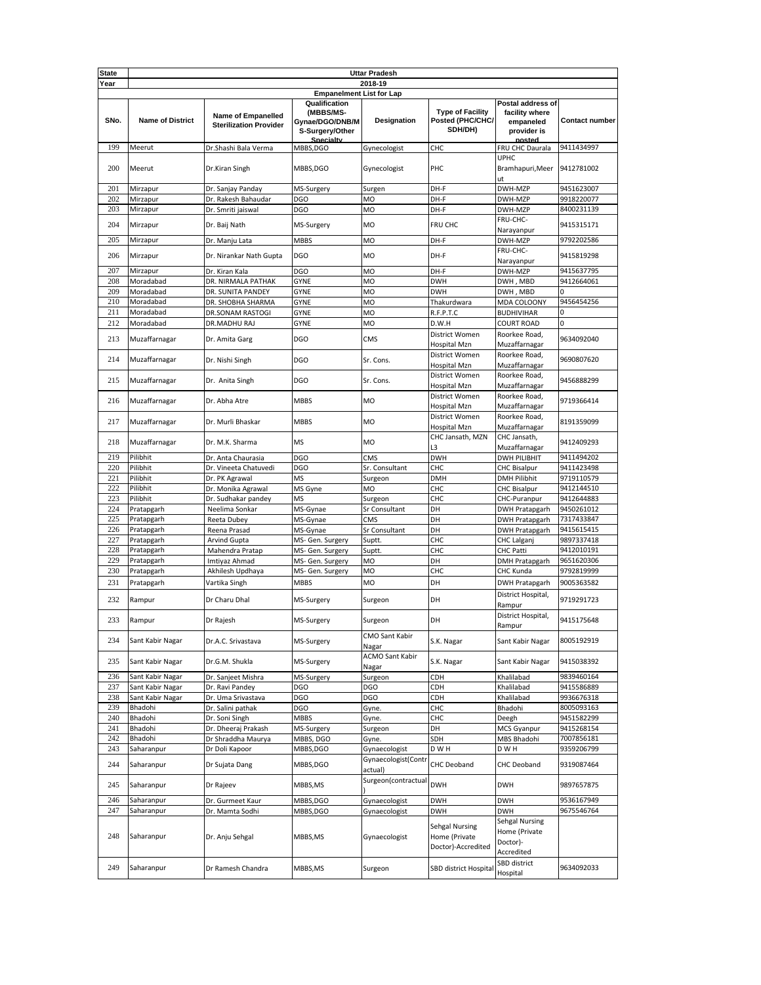| <b>State</b> |                         |                                                            |                                                                               | <b>Uttar Pradesh</b>            |                                                        |                                                                           |                       |  |  |
|--------------|-------------------------|------------------------------------------------------------|-------------------------------------------------------------------------------|---------------------------------|--------------------------------------------------------|---------------------------------------------------------------------------|-----------------------|--|--|
| Year         | 2018-19                 |                                                            |                                                                               |                                 |                                                        |                                                                           |                       |  |  |
|              |                         |                                                            | <b>Empanelment List for Lap</b>                                               |                                 |                                                        |                                                                           |                       |  |  |
| SNo.         | <b>Name of District</b> | <b>Name of Empanelled</b><br><b>Sterilization Provider</b> | Qualification<br>(MBBS/MS-<br>Gynae/DGO/DNB/M<br>S-Surgery/Other<br>Snecialty | Designation                     | <b>Type of Facility</b><br>Posted (PHC/CHC/<br>SDH/DH) | Postal address of<br>facility where<br>empaneled<br>provider is<br>nosted | <b>Contact number</b> |  |  |
| 199          | Meerut                  | Dr.Shashi Bala Verma                                       | MBBS,DGO                                                                      | Gynecologist                    | CHC                                                    | FRU CHC Daurala                                                           | 9411434997            |  |  |
| 200          | Meerut                  | Dr.Kiran Singh                                             | MBBS,DGO                                                                      | Gynecologist                    | PHC                                                    | <b>UPHC</b><br>Bramhapuri, Meer<br>ut                                     | 9412781002            |  |  |
| 201          | Mirzapur                | Dr. Sanjay Panday                                          | MS-Surgery                                                                    | Surgen                          | DH-F                                                   | DWH-MZP                                                                   | 9451623007            |  |  |
| 202          | Mirzapur                | Dr. Rakesh Bahaudar                                        | DGO                                                                           | MO                              | DH-F                                                   | DWH-MZP                                                                   | 9918220077            |  |  |
| 203          | Mirzapur                | Dr. Smriti jaiswal                                         | <b>DGO</b>                                                                    | MO                              | DH-F                                                   | DWH-MZP                                                                   | 8400231139            |  |  |
| 204          | Mirzapur                | Dr. Baij Nath                                              | MS-Surgery                                                                    | <b>MO</b>                       | FRU CHC                                                | FRU-CHC-<br>Narayanpur                                                    | 9415315171            |  |  |
| 205          | Mirzapur                | Dr. Manju Lata                                             | <b>MBBS</b>                                                                   | MO                              | DH-F                                                   | DWH-MZP                                                                   | 9792202586            |  |  |
| 206          | Mirzapur                | Dr. Nirankar Nath Gupta                                    | <b>DGO</b>                                                                    | <b>MO</b>                       | DH-F                                                   | FRU-CHC-<br>Narayanpur                                                    | 9415819298            |  |  |
| 207          | Mirzapur                | Dr. Kiran Kala                                             | <b>DGO</b>                                                                    | <b>MO</b>                       | DH-F                                                   | DWH-MZP                                                                   | 9415637795            |  |  |
| 208          | Moradabad               | DR. NIRMALA PATHAK                                         | <b>GYNE</b>                                                                   | <b>MO</b>                       | <b>DWH</b>                                             | DWH, MBD                                                                  | 9412664061            |  |  |
| 209          | Moradabad               | DR. SUNITA PANDEY                                          | <b>GYNE</b>                                                                   | MO                              | <b>DWH</b>                                             | DWH, MBD                                                                  |                       |  |  |
| 210          | Moradabad               | DR. SHOBHA SHARMA                                          | <b>GYNE</b>                                                                   | MO                              | Thakurdwara                                            | MDA COLOONY                                                               | 9456454256            |  |  |
| 211          | Moradabad               | DR.SONAM RASTOGI                                           | <b>GYNE</b>                                                                   | <b>MO</b>                       | R.F.P.T.C                                              | <b>BUDHIVIHAR</b>                                                         | n                     |  |  |
| 212          | Moradabad               | DR.MADHU RAJ                                               | <b>GYNE</b>                                                                   | MO                              | D.W.H                                                  | <b>COURT ROAD</b>                                                         | 0                     |  |  |
| 213          | Muzaffarnagar           | Dr. Amita Garg                                             | <b>DGO</b>                                                                    | <b>CMS</b>                      | District Women                                         | Roorkee Road,                                                             | 9634092040            |  |  |
|              |                         |                                                            |                                                                               |                                 | Hospital Mzn                                           | Muzaffarnagar                                                             |                       |  |  |
| 214          | Muzaffarnagar           | Dr. Nishi Singh                                            | <b>DGO</b>                                                                    | Sr. Cons.                       | District Women                                         | Roorkee Road,                                                             | 9690807620            |  |  |
|              |                         |                                                            |                                                                               |                                 | Hospital Mzn                                           | Muzaffarnagar                                                             |                       |  |  |
| 215          | Muzaffarnagar           | Dr. Anita Singh                                            | <b>DGO</b>                                                                    | Sr. Cons.                       | District Women<br>Hospital Mzn                         | Roorkee Road,<br>Muzaffarnagar                                            | 9456888299            |  |  |
| 216          | Muzaffarnagar           | Dr. Abha Atre                                              | <b>MBBS</b>                                                                   | <b>MO</b>                       | District Women                                         | Roorkee Road,                                                             | 9719366414            |  |  |
| 217          | Muzaffarnagar           | Dr. Murli Bhaskar                                          | <b>MBBS</b>                                                                   | <b>MO</b>                       | Hospital Mzn<br>District Women                         | Muzaffarnagar<br>Roorkee Road,                                            | 8191359099            |  |  |
|              |                         |                                                            |                                                                               |                                 | Hospital Mzn<br>CHC Jansath, MZN                       | Muzaffarnagar<br>CHC Jansath,                                             |                       |  |  |
| 218          | Muzaffarnagar           | Dr. M.K. Sharma                                            | <b>MS</b>                                                                     | <b>MO</b>                       | L3                                                     | Muzaffarnagar                                                             | 9412409293            |  |  |
| 219          | Pilibhit                | Dr. Anta Chaurasia                                         | <b>DGO</b>                                                                    | CMS                             | <b>DWH</b>                                             | <b>DWH PILIBHIT</b>                                                       | 9411494202            |  |  |
| 220          | Pilibhit                | Dr. Vineeta Chatuvedi                                      | <b>DGO</b>                                                                    | Sr. Consultant                  | CHC                                                    | <b>CHC Bisalpur</b>                                                       | 9411423498            |  |  |
| 221          | Pilibhit                | Dr. PK Agrawal                                             | ΜS                                                                            | Surgeon                         | <b>DMH</b>                                             | <b>DMH Pilibhit</b>                                                       | 9719110579            |  |  |
| 222          | Pilibhit                | Dr. Monika Agrawal                                         | MS Gyne                                                                       | MO                              | CHC                                                    | <b>CHC Bisalpur</b>                                                       | 9412144510            |  |  |
| 223          | Pilibhit                | Dr. Sudhakar pandey                                        | <b>MS</b>                                                                     | Surgeon                         | CHC                                                    | CHC-Puranpur                                                              | 9412644883            |  |  |
| 224          | Pratapgarh              | Neelima Sonkar                                             | MS-Gynae                                                                      | Sr Consultant                   | DH                                                     | <b>DWH Pratapgarh</b>                                                     | 9450261012            |  |  |
| 225          | Pratapgarh              | Reeta Dubey                                                | MS-Gynae                                                                      | CMS                             | DH                                                     | <b>DWH Pratapgarh</b>                                                     | 7317433847            |  |  |
| 226          | Pratapgarh              | Reena Prasad                                               | MS-Gynae                                                                      | Sr Consultant                   | DH                                                     | <b>DWH Pratapgarh</b>                                                     | 9415615415            |  |  |
| 227          | Pratapgarh              | <b>Arvind Gupta</b>                                        | MS- Gen. Surgery                                                              | Suptt.                          | CHC                                                    | CHC Lalganj                                                               | 9897337418            |  |  |
| 228          | Pratapgarh              | Mahendra Pratap                                            | MS- Gen. Surgery                                                              | Suptt.                          | CHC                                                    | CHC Patti                                                                 | 9412010191            |  |  |
| 229          | Pratapgarh              | Imtiyaz Ahmad                                              | MS- Gen. Surgery                                                              | <b>MO</b>                       | DH                                                     | <b>DMH Pratapgarh</b>                                                     | 9651620306            |  |  |
| 230          | Pratapgarh              | Akhilesh Updhaya                                           | MS- Gen. Surgery                                                              | MO                              | CHC                                                    | CHC Kunda                                                                 | 9792819999            |  |  |
| 231<br>232   | Pratapgarh              | Vartika Singh                                              | <b>MBBS</b>                                                                   | <b>MO</b>                       | DH                                                     | <b>DWH Pratapgarh</b><br>District Hospital,                               | 9005363582            |  |  |
|              | Rampur                  | Dr Charu Dhal                                              | MS-Surgery                                                                    | Surgeon                         | DH                                                     | Rampur<br>District Hospital,                                              | 9719291723            |  |  |
| 233          | Rampur                  | Dr Rajesh                                                  | MS-Surgery                                                                    | Surgeon                         | DH                                                     | Rampur                                                                    | 9415175648            |  |  |
| 234          | Sant Kabir Nagar        | Dr.A.C. Srivastava                                         | MS-Surgery                                                                    | CMO Sant Kabir<br>Nagar         | S.K. Nagar                                             | Sant Kabir Nagar                                                          | 8005192919            |  |  |
| 235          | Sant Kabir Nagar        | Dr.G.M. Shukla                                             | MS-Surgery                                                                    | <b>ACMO Sant Kabir</b><br>Nagar | S.K. Nagar                                             | Sant Kabir Nagar                                                          | 9415038392            |  |  |
| 236          | Sant Kabir Nagar        | Dr. Sanjeet Mishra                                         | MS-Surgery                                                                    | Surgeon                         | CDH                                                    | Khalilabad                                                                | 9839460164            |  |  |
| 237          | Sant Kabir Nagar        | Dr. Ravi Pandey                                            | DGO                                                                           | DGO                             | CDH                                                    | Khalilabad                                                                | 9415586889            |  |  |
| 238          | Sant Kabir Nagar        | Dr. Uma Srivastava                                         | DGO                                                                           | DGO                             | CDH                                                    | Khalilabad                                                                | 9936676318            |  |  |
| 239          | Bhadohi                 | Dr. Salini pathak                                          | DGO                                                                           | Gyne.                           | CHC                                                    | Bhadohi                                                                   | 8005093163            |  |  |
| 240          | Bhadohi                 | Dr. Soni Singh                                             | <b>MBBS</b>                                                                   | Gyne.                           | CHC                                                    | Deegh                                                                     | 9451582299            |  |  |
| 241          | Bhadohi                 | Dr. Dheeraj Prakash                                        | MS-Surgery                                                                    | Surgeon                         | DH                                                     | <b>MCS Gyanpur</b>                                                        | 9415268154            |  |  |
| 242          | Bhadohi                 | Dr Shraddha Maurya                                         | MBBS, DGO                                                                     | Gyne.                           | SDH                                                    | MBS Bhadohi                                                               | 7007856181            |  |  |
| 243          | Saharanpur              | Dr Doli Kapoor                                             | MBBS,DGO                                                                      | Gynaecologist                   | D W H                                                  | D W H                                                                     | 9359206799            |  |  |
| 244          | Saharanpur              | Dr Sujata Dang                                             | MBBS,DGO                                                                      | Gynaecologist(Contr<br>actual)  | CHC Deoband                                            | CHC Deoband                                                               | 9319087464            |  |  |
| 245          | Saharanpur              | Dr Rajeev                                                  | MBBS,MS                                                                       | Surgeon(contractual             | <b>DWH</b>                                             | <b>DWH</b>                                                                | 9897657875            |  |  |
| 246          | Saharanpur              | Dr. Gurmeet Kaur                                           | MBBS,DGO                                                                      | Gynaecologist                   | <b>DWH</b>                                             | <b>DWH</b>                                                                | 9536167949            |  |  |
| 247          | Saharanpur              | Dr. Mamta Sodhi                                            | MBBS,DGO                                                                      | Gynaecologist                   | <b>DWH</b>                                             | <b>DWH</b>                                                                | 9675546764            |  |  |
| 248          | Saharanpur              | Dr. Anju Sehgal                                            | MBBS,MS                                                                       | Gynaecologist                   | Sehgal Nursing<br>Home (Private<br>Doctor)-Accredited  | Sehgal Nursing<br>Home (Private<br>Doctor)-<br>Accredited                 |                       |  |  |
| 249          | Saharanpur              | Dr Ramesh Chandra                                          | MBBS, MS                                                                      | Surgeon                         | SBD district Hospital                                  | SBD district<br>Hospital                                                  | 9634092033            |  |  |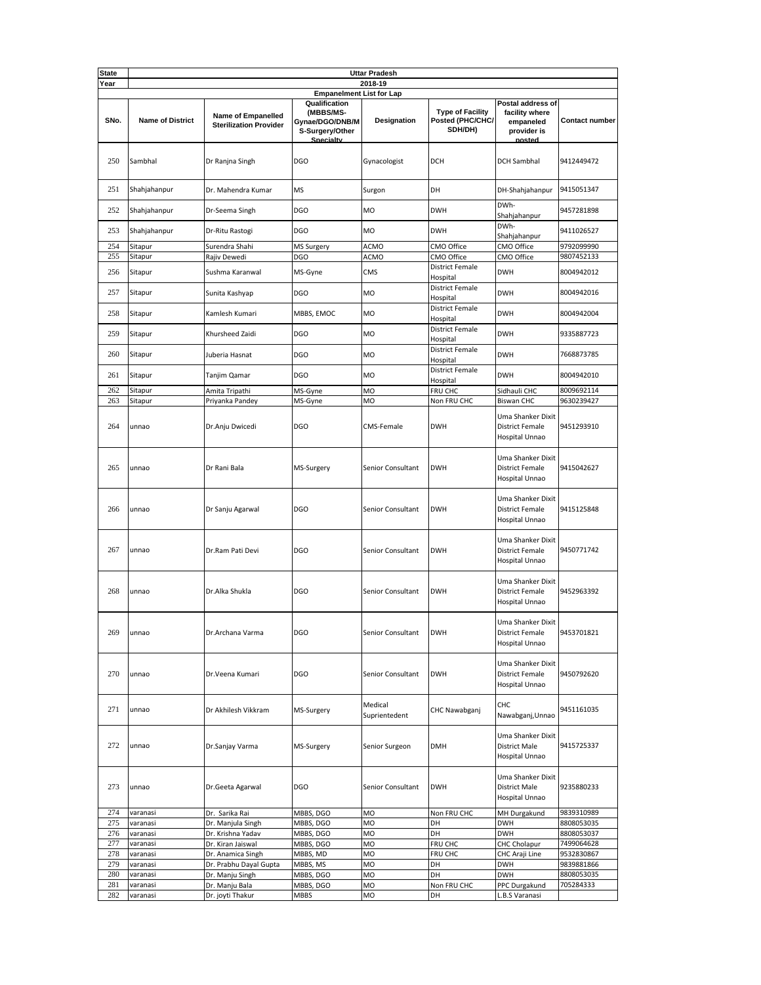| <b>State</b> | <b>Uttar Pradesh</b>            |                                                            |                                                                               |                          |                                                        |                                                                           |                       |  |  |
|--------------|---------------------------------|------------------------------------------------------------|-------------------------------------------------------------------------------|--------------------------|--------------------------------------------------------|---------------------------------------------------------------------------|-----------------------|--|--|
| Year         | 2018-19                         |                                                            |                                                                               |                          |                                                        |                                                                           |                       |  |  |
|              | <b>Empanelment List for Lap</b> |                                                            |                                                                               |                          |                                                        |                                                                           |                       |  |  |
| SNo.         | <b>Name of District</b>         | <b>Name of Empanelled</b><br><b>Sterilization Provider</b> | Qualification<br>(MBBS/MS-<br>Gynae/DGO/DNB/M<br>S-Surgery/Other<br>Snecialty | Designation              | <b>Type of Facility</b><br>Posted (PHC/CHC/<br>SDH/DH) | Postal address of<br>facility where<br>empaneled<br>provider is<br>nosted | <b>Contact number</b> |  |  |
| 250          | Sambhal                         | Dr Ranjna Singh                                            | <b>DGO</b>                                                                    | Gynacologist             | <b>DCH</b>                                             | <b>DCH Sambhal</b>                                                        | 9412449472            |  |  |
| 251          | Shahjahanpur                    | Dr. Mahendra Kumar                                         | <b>MS</b>                                                                     | Surgon                   | DH                                                     | DH-Shahjahanpur                                                           | 9415051347            |  |  |
| 252          | Shahjahanpur                    | Dr-Seema Singh                                             | <b>DGO</b>                                                                    | <b>MO</b>                | <b>DWH</b>                                             | DWh-<br>Shahjahanpur                                                      | 9457281898            |  |  |
| 253          | Shahjahanpur                    | Dr-Ritu Rastogi                                            | <b>DGO</b>                                                                    | <b>MO</b>                | <b>DWH</b>                                             | DWh-<br>Shahjahanpur                                                      | 9411026527            |  |  |
| 254          | Sitapur                         | Surendra Shahi                                             | <b>MS Surgery</b>                                                             | ACMO                     | CMO Office                                             | CMO Office                                                                | 9792099990            |  |  |
| 255          | Sitapur                         | Rajiv Dewedi                                               | DGO                                                                           | ACMO                     | CMO Office                                             | CMO Office                                                                | 9807452133            |  |  |
| 256          | Sitapur                         | Sushma Karanwal                                            | MS-Gyne                                                                       | CMS                      | <b>District Female</b><br>Hospital                     | <b>DWH</b>                                                                | 8004942012            |  |  |
| 257          | Sitapur                         | Sunita Kashyap                                             | <b>DGO</b>                                                                    | MO                       | <b>District Female</b><br>Hospital                     | <b>DWH</b>                                                                | 8004942016            |  |  |
| 258          | Sitapur                         | Kamlesh Kumari                                             | MBBS, EMOC                                                                    | <b>MO</b>                | <b>District Female</b><br>Hospital                     | <b>DWH</b>                                                                | 8004942004            |  |  |
| 259          | Sitapur                         | Khursheed Zaidi                                            | <b>DGO</b>                                                                    | MO                       | <b>District Female</b><br>Hospital                     | <b>DWH</b>                                                                | 9335887723            |  |  |
| 260          | Sitapur                         | Juberia Hasnat                                             | <b>DGO</b>                                                                    | <b>MO</b>                | <b>District Female</b><br>Hospital                     | <b>DWH</b>                                                                | 7668873785            |  |  |
| 261          | Sitapur                         | Tanjim Qamar                                               | <b>DGO</b>                                                                    | <b>MO</b>                | <b>District Female</b><br>Hospital                     | <b>DWH</b>                                                                | 8004942010            |  |  |
| 262          | Sitapur                         | Amita Tripathi                                             | MS-Gyne                                                                       | MO                       | FRU CHC                                                | Sidhauli CHC                                                              | 8009692114            |  |  |
| 263          | Sitapur                         | Priyanka Pandey                                            | MS-Gyne                                                                       | MO                       | Non FRU CHC                                            | <b>Biswan CHC</b>                                                         | 9630239427            |  |  |
| 264          | unnao                           | Dr.Anju Dwicedi                                            | <b>DGO</b>                                                                    | CMS-Female               | <b>DWH</b>                                             | Uma Shanker Dixit<br><b>District Female</b><br>Hospital Unnao             | 9451293910            |  |  |
| 265          | unnao                           | Dr Rani Bala                                               | MS-Surgery                                                                    | Senior Consultant        | <b>DWH</b>                                             | Uma Shanker Dixit<br><b>District Female</b><br>Hospital Unnao             | 9415042627            |  |  |
| 266          | unnao                           | Dr Sanju Agarwal                                           | <b>DGO</b>                                                                    | Senior Consultant        | <b>DWH</b>                                             | Uma Shanker Dixit<br><b>District Female</b><br>Hospital Unnao             | 9415125848            |  |  |
| 267          | unnao                           | Dr.Ram Pati Devi                                           | <b>DGO</b>                                                                    | Senior Consultant        | <b>DWH</b>                                             | Uma Shanker Dixit<br><b>District Female</b><br>Hospital Unnao             | 9450771742            |  |  |
| 268          | unnao                           | Dr.Alka Shukla                                             | <b>DGO</b>                                                                    | Senior Consultant        | <b>DWH</b>                                             | Uma Shanker Dixit<br><b>District Female</b><br>Hospital Unnao             | 9452963392            |  |  |
| 269          | unnao                           | Dr.Archana Varma                                           | <b>DGO</b>                                                                    | Senior Consultant        | <b>DWH</b>                                             | Uma Shanker Dixit<br>District Female<br>Hospital Unnao                    | 9453701821            |  |  |
| 270          | unnao                           | Dr.Veena Kumari                                            | <b>DGO</b>                                                                    | Senior Consultant        | <b>DWH</b>                                             | Uma Shanker Dixit<br><b>District Female</b><br>Hospital Unnao             | 9450792620            |  |  |
| 271          | unnao                           | Dr Akhilesh Vikkram                                        | MS-Surgery                                                                    | Medical<br>Suprientedent | CHC Nawabganj                                          | CHC<br>Nawabganj, Unnao                                                   | 9451161035            |  |  |
| 272          | unnao                           | Dr.Sanjay Varma                                            | MS-Surgery                                                                    | Senior Surgeon           | <b>DMH</b>                                             | Uma Shanker Dixit<br><b>District Male</b><br>Hospital Unnao               | 9415725337            |  |  |
| 273          | unnao                           | Dr.Geeta Agarwal                                           | <b>DGO</b>                                                                    | Senior Consultant        | <b>DWH</b>                                             | Uma Shanker Dixit<br><b>District Male</b><br>Hospital Unnao               | 9235880233            |  |  |
| 274          | varanasi                        | Dr. Sarika Rai                                             | MBBS, DGO                                                                     | MO                       | Non FRU CHC                                            | MH Durgakund                                                              | 9839310989            |  |  |
| 275          | varanasi                        | Dr. Manjula Singh                                          | MBBS, DGO                                                                     | MO                       | DH                                                     | <b>DWH</b>                                                                | 8808053035            |  |  |
| 276          | varanasi                        | Dr. Krishna Yadav                                          | MBBS, DGO                                                                     | MO                       | DH                                                     | <b>DWH</b>                                                                | 8808053037            |  |  |
| 277          | varanasi                        | Dr. Kiran Jaiswal                                          | MBBS, DGO                                                                     | MO                       | FRU CHC                                                | CHC Cholapur                                                              | 7499064628            |  |  |
| 278          | varanasi                        | Dr. Anamica Singh                                          | MBBS, MD                                                                      | MO                       | FRU CHC                                                | CHC Araji Line                                                            | 9532830867            |  |  |
| 279          | varanasi                        | Dr. Prabhu Dayal Gupta                                     | MBBS, MS                                                                      | MO                       | DH                                                     | <b>DWH</b>                                                                | 9839881866            |  |  |
| 280          | varanasi                        | Dr. Manju Singh                                            | MBBS, DGO                                                                     | MO                       | DH                                                     | <b>DWH</b>                                                                | 8808053035            |  |  |
| 281          | varanasi                        | Dr. Manju Bala                                             | MBBS, DGO                                                                     | MO                       | Non FRU CHC                                            | PPC Durgakund                                                             | 705284333             |  |  |
| 282          | varanasi                        | Dr. joyti Thakur                                           | <b>MBBS</b>                                                                   | MO                       | DH                                                     | L.B.S Varanasi                                                            |                       |  |  |